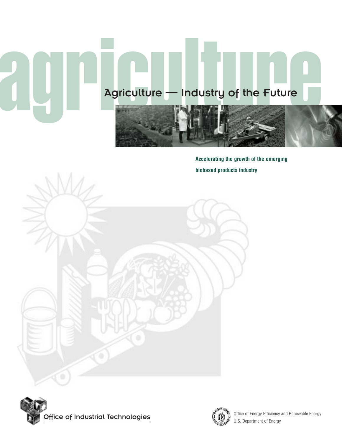# agriculture — Industry of the Future

**Accelerating the growth of the emerging biobased products industry**



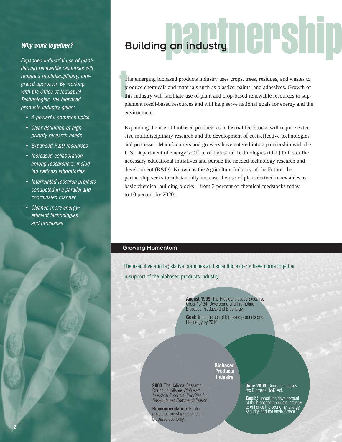Expanded industrial use of plantderived renewable resources will require a multidisciplinary, integrated approach. By working with the Office of Industrial Technologies, the biobased products industry gains:

- A powerful common voice
- Clear definition of highpriority research needs
- Expanded R&D resources
- Increased collaboration among researchers, including national laboratories
- Interrelated research projects conducted in a parallel and coordinated manner
- Cleaner, more energyefficient technologies and processes

## partnership Why work together? **Building an industry**

T<br>P<br>t<br>P The emerging biobased products industry uses crops, trees, residues, and wastes to produce chemicals and materials such as plastics, paints, and adhesives. Growth of this industry will facilitate use of plant and crop-based renewable resources to supplement fossil-based resources and will help serve national goals for energy and the environment.

Expanding the use of biobased products as industrial feedstocks will require extensive multidisciplinary research and the development of cost-effective technologies and processes. Manufacturers and growers have entered into a partnership with the U.S. Department of Energy's Office of Industrial Technologies (OIT) to foster the necessary educational initiatives and pursue the needed technology research and development (R&D). Known as the Agriculture Industry of the Future, the partnership seeks to substantially increase the use of plant-derived renewables as basic chemical building blocks—from 3 percent of chemical feedstocks today to 10 percent by 2020.

#### Growing Momentum

The executive and legislative branches and scientific experts have come together in support of the biobased products industry.

> **August 1999**: The President issues Executive Order 13134: Developing and Promoting Biobased Products and Bioenergy.

> **Goal**: Triple the use of biobased products and bioenergy by 2010.

> > **Biobased**

**2000**: The National Research Council publishes Biobased Industrial Products: Priorities for Research and Commercialization.

**Recommendation**: Publicprivate partnerships to create a biobased economy.

**Products Industry**

### **June 2000**: Congress passes<br>the Biomass R&D Act.

**Goal**: Support the development<br>of the biobased products industry to enhance the economy, energy security, and the environment.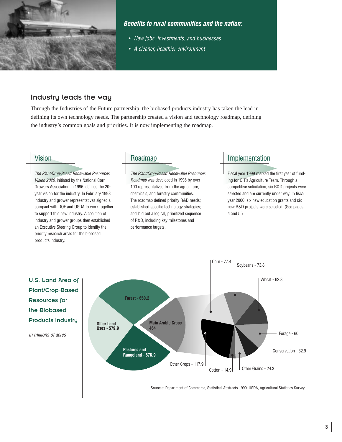

#### **Benefits to rural communities and the nation:**

- New jobs, investments, and businesses
- A cleaner, healthier environment

#### Industry leads the way

Through the Industries of the Future partnership, the biobased products industry has taken the lead in defining its own technology needs. The partnership created a vision and technology roadmap, defining the industry's common goals and priorities. It is now implementing the roadmap.

#### Vision

The Plant/Crop-Based Renewable Resources Vision 2020, initiated by the National Corn Growers Association in 1996, defines the 20 year vision for the industry. In February 1998 industry and grower representatives signed a compact with DOE and USDA to work together to support this new industry. A coalition of industry and grower groups then established an Executive Steering Group to identify the priority research areas for the biobased products industry.

#### Roadmap

The Plant/Crop-Based Renewable Resources Roadmap was developed in 1998 by over 100 representatives from the agriculture, chemicals, and forestry communities. The roadmap defined priority R&D needs; established specific technology strategies; and laid out a logical, prioritized sequence of R&D, including key milestones and performance targets.

#### Implementation

Fiscal year 1999 marked the first year of funding for OIT's Agriculture Team. Through a competitive solicitation, six R&D projects were selected and are currently under way. In fiscal year 2000, six new education grants and six new R&D projects were selected. (See pages 4 and 5.)



Sources: Department of Commerce, Statistical Abstracts 1999; USDA, Agricultural Statistics Survey.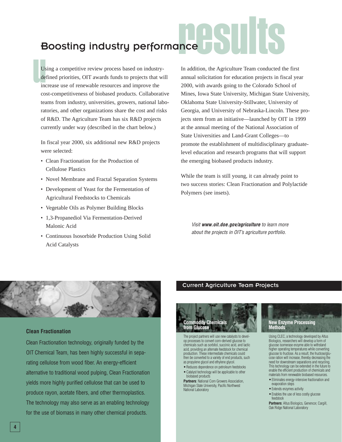## results Boosting industry performance

Us<br>de<br>inc Using a competitive review process based on industrydefined priorities, OIT awards funds to projects that will increase use of renewable resources and improve the cost-competitiveness of biobased products. Collaborative teams from industry, universities, growers, national laboratories, and other organizations share the cost and risks of R&D. The Agriculture Team has six R&D projects currently under way (described in the chart below.)

In fiscal year 2000, six additional new R&D projects were selected:

- Clean Fractionation for the Production of Cellulose Plastics
- Novel Membrane and Fractal Separation Systems
- Development of Yeast for the Fermentation of Agricultural Feedstocks to Chemicals
- Vegetable Oils as Polymer Building Blocks
- 1,3-Propanediol Via Fermentation-Derived Malonic Acid
- Continuous Isosorbide Production Using Solid Acid Catalysts

In addition, the Agriculture Team conducted the first annual solicitation for education projects in fiscal year 2000, with awards going to the Colorado School of Mines, Iowa State University, Michigan State University, Oklahoma State University-Stillwater, University of Georgia, and University of Nebraska-Lincoln. These projects stem from an initiative—launched by OIT in 1999 at the annual meeting of the National Association of State Universities and Land-Grant Colleges—to promote the establishment of multidisciplinary graduatelevel education and research programs that will support the emerging biobased products industry.

While the team is still young, it can already point to two success stories: Clean Fractionation and Polylactide Polymers (see insets).

Visit **www.oit.doe.gov/agriculture** to learn more about the projects in OIT's agriculture portfolio.



#### **Clean Fractionation**

Clean Fractionation technology, originally funded by the OIT Chemical Team, has been highly successful in separating cellulose from wood fiber. An energy-efficient alternative to traditional wood pulping, Clean Fractionation yields more highly purified cellulose that can be used to produce rayon, acetate fibers, and other thermoplastics. The technology may also serve as an enabling technology for the use of biomass in many other chemical products.

#### Current Agriculture Team Projects



The project partners will use new catalysts to develop processes to convert corn-derived glucose to chemicals such as sorbitol, succinic acid, and lactic acid, providing an alternate feedstock for chemical production. These intermediate chemicals could then be converted to a variety of end products, such as propylene glycol and ethylene glycol.

- Reduces dependence on petroleum feedstocks
- Catalyst technology will be applicable to other biobased products

**Partners**: National Corn Growers Association, Michigan State University, Pacific Northwest National Laboratory

#### **New Enzyme Processing Methods**

Using CLEC, a technology developed by Altus Biologics, researchers will develop a form of glucose isomerase enzyme able to withstand higher operating temperatures while converting glucose to fructose. As a result, the fructose/glucose ration will increase, thereby decreasing the need for downstream separations and recycling. This technology can be extended in the future to enable the efficient production of chemicals and materials from renewable biobased resources.

- Eliminates energy-intensive fractionation and evaporation steps
- Extends enzymes activity
- Enables the use of less costly glucose feedstock

**Partners**: Altus Biologics, Genencor, Cargill, Oak Ridge National Laboratory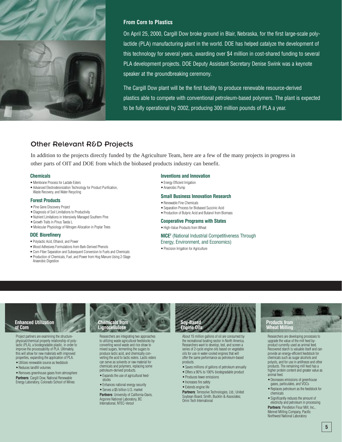

#### **From Corn to Plastics**

On April 25, 2000, Cargill Dow broke ground in Blair, Nebraska, for the first large-scale polylactide (PLA) manufacturing plant in the world. DOE has helped catalyze the development of this technology for several years, awarding over \$4 million in cost-shared funding to several PLA development projects. DOE Deputy Assistant Secretary Denise Swink was a keynote speaker at the groundbreaking ceremony.

The Cargill Dow plant will be the first facility to produce renewable resource-derived plastics able to compete with conventional petroleum-based polymers. The plant is expected to be fully operational by 2002, producing 300 million pounds of PLA a year.

#### Other Relevant R&D Projects

In addition to the projects directly funded by the Agriculture Team, here are a few of the many projects in progress in other parts of OIT and DOE from which the biobased products industry can benefit.

#### **Chemicals**

- Membrane Process for Lactate Esters
- Advanced Electrodeionization Technology for Product Purification, Waste Recovery, and Water Recycling

#### **Forest Products**

- Pine Gene Discovery Project
- Diagnosis of Soil Limitations to Productivity
- Nutrient Limitations in Intensively Managed Southern Pine
- Growth Traits in Pinus Taeda L.
- Molecular Physiology of Nitrogen Allocation in Poplar Trees

#### **DOE Biorefinery**

- Polylactic Acid, Ethanol, and Power
- Wood Adhesives Formulations from Bark-Derived Phenols
- Corn Fiber Separation and Subsequent Conversion to Fuels and Chemicals
- Production of Chemicals, Fuel, and Power from Hog Manure Using 2-Stage Anaerobic Digestion

#### **Inventions and Innovation**

- Energy Efficient Irrigation
- Anaerobic Pump

#### **Small Business Innovation Research**

- Renewable Fine Chemicals
- Separation Process for Biobased Succinic Acid
- Production of Butyric Acid and Butanol from Biomass

#### **Cooperative Programs with States**

- High-Value Products from Wheat
- **NICE3** (National Industrial Competitiveness Through Energy, Environment, and Economics)
- Precision Irrigation for Agriculture

#### **Enhanced Utilization of Corn**

Project partners are examining the structurephysical/chemical property relationship of polylactic (PLA), a biodegradable plastic, in order to improve the processability of PLA. Ultimately, this will allow for new materials with improved properties, expanding the application of PLA.

• Utilizes renewable source as feedstock • Reduces landfill volumes

• Removes greenhouse gases from atmosphere **Partners**: Cargill Dow, National Renewable Energy Laboratory, Colorado School of Mines



Researchers are integrating two approaches to utilizing waste agricultural feedstocks by converting wood waste and rice straw to mixed sugars, fermenting the sugars to produce lactic acid, and chemically converting the acid to lactic esters. Lactic esters can serve as solvents or raw material for chemicals and polymers, replacing some petroleum-derived products.

- Expands the use of agricultural feedstocks
- Enhances national energy security
- Serves a \$5 billion U.S. market

**Partners**: University of California-Davis, Argonne National Laboratory, BC International, NTEC-Versol



About 15 million gallons of oil are consumed by the recreational boating sector in North America. Researchers want to develop, test, and screen a series of 2-cycle engine oils based on vegetable oils for use in water-cooled engines that will offer the same performance as petroleum-based products.

- Saves millions of gallons of petroleum annually • Offers a 90% to 100% biodegradable product
- Produces fewer emissions
- 
- Increases fire safety
- Extends engine life

**Partners**: Terresolve Technologies, Ltd.; United Soybean Board; Smith, Bucklin & Associates; Omni Tech International

## **Products from Wheat Milling**

Researchers are developing processes to upgrade the value of the mill feed byproduct currently used as animal feed. Recovered starch is valuable itself and can provide an energy-efficient feedstock for chemicals such as sugar alcohols and polyols, and for use in antifreeze and other products. The remaining mill feed has a higher protein content and greater value as animal feed.

- Decreases emissions of greenhouse gases, particulates, and VOCs
- Replaces petroleum as the feedstock for chemicals

• Significantly reduces the amount of electricity and petroleum in processing **Partners**: Pendleton Flour Mill, Inc., Mennel Milling Company, Pacific Northwest National Laboratory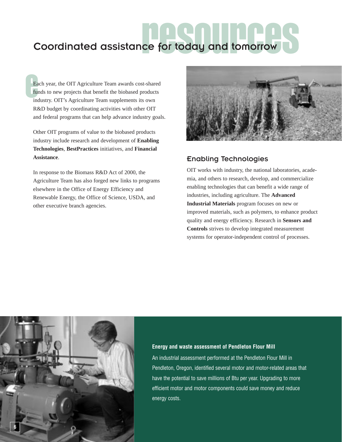# Coordinated assistance for today and tomorrow

Ea<br>
ful<br>
inc Each year, the OIT Agriculture Team awards cost-shared funds to new projects that benefit the biobased products industry. OIT's Agriculture Team supplements its own R&D budget by coordinating activities with other OIT and federal programs that can help advance industry goals.

Other OIT programs of value to the biobased products industry include research and development of **Enabling Technologies**, **BestPractices** initiatives, and **Financial Assistance**.

In response to the Biomass R&D Act of 2000, the Agriculture Team has also forged new links to programs elsewhere in the Office of Energy Efficiency and Renewable Energy, the Office of Science, USDA, and other executive branch agencies.



#### Enabling Technologies

OIT works with industry, the national laboratories, academia, and others to research, develop, and commercialize enabling technologies that can benefit a wide range of industries, including agriculture. The **Advanced Industrial Materials** program focuses on new or improved materials, such as polymers, to enhance product quality and energy efficiency. Research in **Sensors and Controls** strives to develop integrated measurement systems for operator-independent control of processes.



#### **Energy and waste assessment of Pendleton Flour Mill**

An industrial assessment performed at the Pendleton Flour Mill in Pendleton, Oregon, identified several motor and motor-related areas that have the potential to save millions of Btu per year. Upgrading to more efficient motor and motor components could save money and reduce energy costs.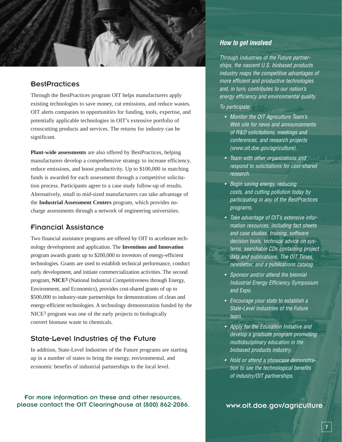#### **BestPractices**

Through the BestPractices program OIT helps manufacturers apply existing technologies to save money, cut emissions, and reduce wastes. OIT alerts companies to opportunities for funding, tools, expertise, and potentially applicable technologies in OIT's extensive portfolio of crosscutting products and services. The returns for industry can be significant.

**Plant-wide assessments** are also offered by BestPractices, helping manufacturers develop a comprehensive strategy to increase efficiency, reduce emissions, and boost productivity. Up to \$100,000 in matching funds is awarded for each assessment through a competitive solicitation process. Participants agree to a case study follow-up of results. Alternatively, small to mid-sized manufacturers can take advantage of the **Industrial Assessment Centers** program, which provides nocharge assessments through a network of engineering universities.

#### Financial Assistance

Two financial assistance programs are offered by OIT to accelerate technology development and application. The **Inventions and Innovation** program awards grants up to \$200,000 to inventors of energy-efficient technologies. Grants are used to establish technical performance, conduct early development, and initiate commercialization activities. The second program, **NICE3** (National Industrial Competitiveness through Energy, Environment, and Economics), provides cost-shared grants of up to \$500,000 to industry-state partnerships for demonstrations of clean and energy-efficient technologies. A technology demonstration funded by the NICE<sup>3</sup> program was one of the early projects to biologically convert biomass waste to chemicals.

#### State-Level Industries of the Future

In addition, State-Level Industries of the Future programs are starting up in a number of states to bring the energy, environmental, and economic benefits of industrial partnerships to the local level.

For more information on these and other resources, please contact the OIT Clearinghouse at (800) 862-2086.

#### **How to get involved**

Through Industries of the Future partnerships, the nascent U.S. biobased products industry reaps the competitive advantages of more efficient and productive technologies and, in turn, contributes to our nation's energy efficiency and environmental quality.

#### To participate:

- Monitor the OIT Agriculture Team's Web site for news and announcements of R&D solicitations, meetings and conferences, and research projects (www.oit.doe.gov/agriculture).
- Team with other organizations and respond to solicitations for cost-shared research.
- Begin saving energy, reducing costs, and cutting pollution today by participating in any of the BestPractices programs.
- Take advantage of OIT's extensive information resources, including fact sheets and case studies, training, software decision tools, technical advice on systems, searchable CDs containing project data and publications, The OIT Times newsletter, and a publications catalog.
- Sponsor and/or attend the biennial Industrial Energy Efficiency Symposium and Expo.
- Encourage your state to establish a State-Level Industries of the Future team.
- Apply for the Education Initiative and develop a graduate program promoting multidisciplinary education in the biobased products industry.
- Hold or attend a showcase demonstration to see the technological benefits of industry/OIT partnerships.

www.oit.doe.gov/agriculture